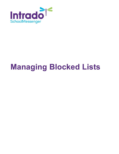

# **Managing Blocked Lists**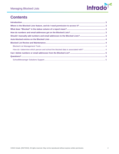

# **Contents**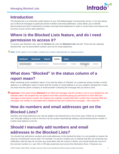

## <span id="page-2-0"></span>**Introduction**

The blocked list is an extremely useful feature of your SchoolMessenger Communicate service. It not only allows you to block all messages to particular phone numbers and email addresses, it also allows you to identify disconnected and other invalid phone numbers and bad email addresses in order to correct them and improve the accuracy of your source data system(s).

# <span id="page-2-1"></span>**Where is the Blocked Lists feature, and do I need permission to access it?**

To access your Blocked Lists, click the **System** tab, then the **Blocked Lists** sub-tab. There are two separate blocked lists: one for phone/SMS numbers and one for email addresses.

*Note: If this option is not visible, contact your system administrator to request access.* 

| <b>Dashboard</b>         | <b>Broadcasts</b>           | <b>Reports</b> | System                      | <b>Admin</b> |          |                      |                 |
|--------------------------|-----------------------------|----------------|-----------------------------|--------------|----------|----------------------|-----------------|
| <b>Active Broadcasts</b> | <b>Completed Broadcasts</b> |                | <b>Repeating Broadcasts</b> |              | Contacts | <b>Blocked</b> Lists | <b>Monitors</b> |

# <span id="page-2-2"></span>**What does "Blocked" in the status column of a report mean?**

When reviewing a job completion report, if you see the status of "blocked" on a particular phone number or email address in a notification report it means that the number or email address is on your system's blocked list. It does not mean that the phone company or email provider is blocking the message that you tried to send.

*Important: If the report shows Blocked for an SMS text message, and the number is not on your blocked list, this indicates either: the recipient has not opted-in from their cell phone giving you permission to send SMS text messages to their phone number; the recipient has explicitly unsubscribed their number from receiving SMS text messages; the number is associated with a telephone that can't receive text messages – like a land line.*

# <span id="page-2-3"></span>**How do numbers and email addresses get on the Blocked Lists?**

Numbers and email addresses can only be added to the blocked list in one of two ways: Either by an individual user manually adding an entry to the list or by the system automatically adding a disconnected phone number or invalid email address to the list.

# <span id="page-2-4"></span>**Should I manually add numbers and email addresses to the Blocked Lists?**

You should only add phone numbers and email addresses to the blocked list when it is not possible to resolve the issue by correcting the source data. For example, if a person contacts you to indicate that they are receiving your notification calls but they do not have any association with the school or district, you should locate the source of the incorrect number (i.e. your SIS or HR data system(s)) and correct the information there. If however you

©2022 Intrado. [05272022]. All rights reserved. May not be reproduced without express written permission. 3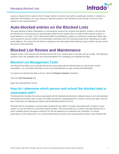

receive a request from a parent who no longer wishes to receive any calls to a particular number or emails to a particular email address you may choose to add that number to the blocked list and include a note as to the reason for the requested block.

## <span id="page-3-0"></span>**Auto-blocked entries on the Blocked Lists**

The auto-blocked number information is a tremendous resource for schools and districts. Entries in the list that are blocked by Communicate are automatically added by the system when it confirms that a phone number or email address is not valid. This is determined either by identifying a pattern of numerous consecutive failed calls over a period of several months or by information sent back from the receiving email server indicating an invalid email address. The reason for the block is indicated in the description field making it easy to follow up and correct the source of the bad data.

### <span id="page-3-1"></span>**Blocked List Review and Maintenance**

Regular review of the blocked list will help ensure that your contact data is accurate and up to date. The following sections cover the available tools and recommendations for managing your blocked list data.

#### <span id="page-3-2"></span>**Blocked List Management Tools**

The blocked list allows you to identify the person associated with the blocked data as well as their school association. You can export that data into an Excel spreadsheet for easy sorting and distribution.

To export your blocked list data to Excel, click the **Display Contacts** checkbox.

Click the **CSV Download** link.

Open the exported file in Excel.

#### <span id="page-3-3"></span>**How do I determine which person and school the blocked data is associated with?**

The blocked list includes the school associated with the blocked phone/email, making it easy to sort and distribute the blocked list to those sites so they can follow up with the students/parents in order to correct the data. See the prior instructions for displaying contacts and downloading data into Excel.

Records that do not display a school and/or student ID# are either no longer associated with a student in your system or may be linked to a manually entered contact. This would either be a contact manually entered into a user's address book or through a manual CSV file list upload by an individual user; therefore, no school association or ID# would exist. It is recommended that you leave such unassociated records in your blocked list.